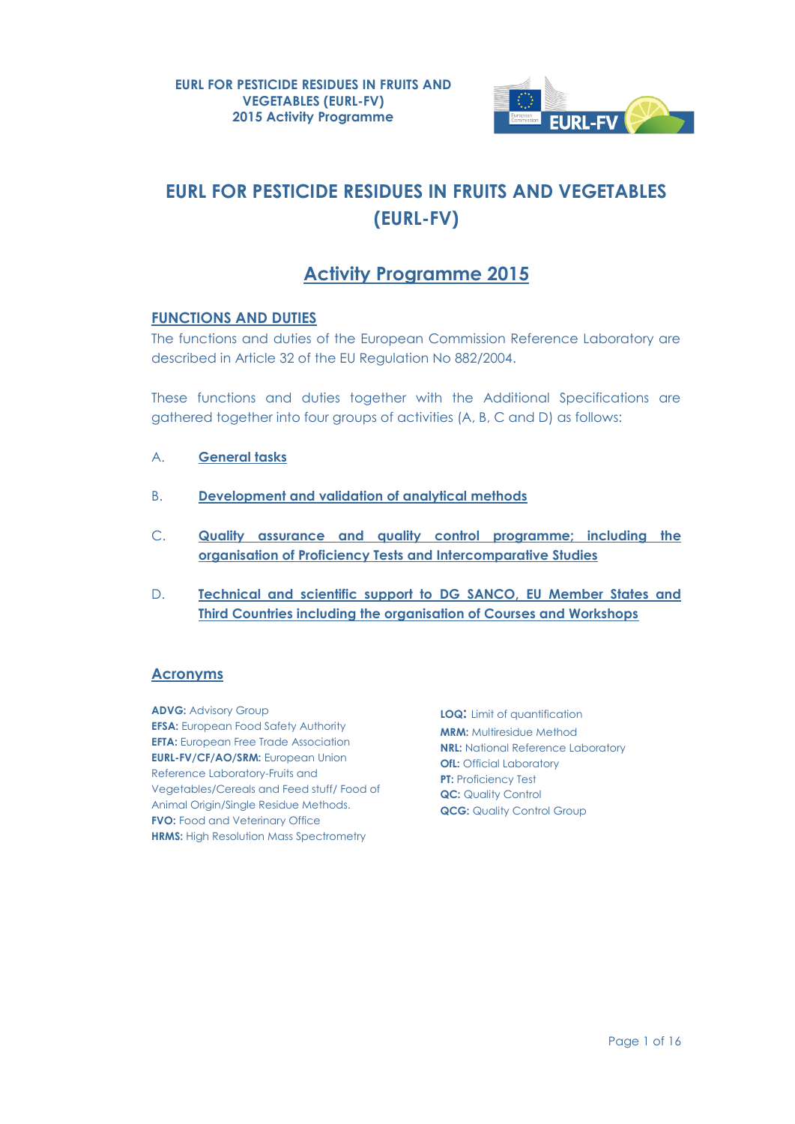

# **EURL FOR PESTICIDE RESIDUES IN FRUITS AND VEGETABLES (EURL-FV)**

# **Activity Programme 2015**

## **FUNCTIONS AND DUTIES**

The functions and duties of the European Commission Reference Laboratory are described in Article 32 of the EU Regulation No 882/2004.

These functions and duties together with the Additional Specifications are gathered together into four groups of activities (A, B, C and D) as follows:

- A. **General tasks**
- B. **Development and validation of analytical methods**
- C. **Quality assurance and quality control programme; including the organisation of Proficiency Tests and Intercomparative Studies**
- D. **Technical and scientific support to DG SANCO, EU Member States and Third Countries including the organisation of Courses and Workshops**

## **Acronyms**

**ADVG: Advisory Group EFSA:** European Food Safety Authority **EFTA:** European Free Trade Association **EURL-FV/CF/AO/SRM:** European Union Reference Laboratory-Fruits and Vegetables/Cereals and Feed stuff/ Food of Animal Origin/Single Residue Methods. **FVO:** Food and Veterinary Office **HRMS:** High Resolution Mass Spectrometry

**LOQ:** Limit of quantification **MRM:** Multiresidue Method **NRL:** National Reference Laboratory **OfL:** Official Laboratory **PT: Proficiency Test QC:** Quality Control **QCG: Quality Control Group**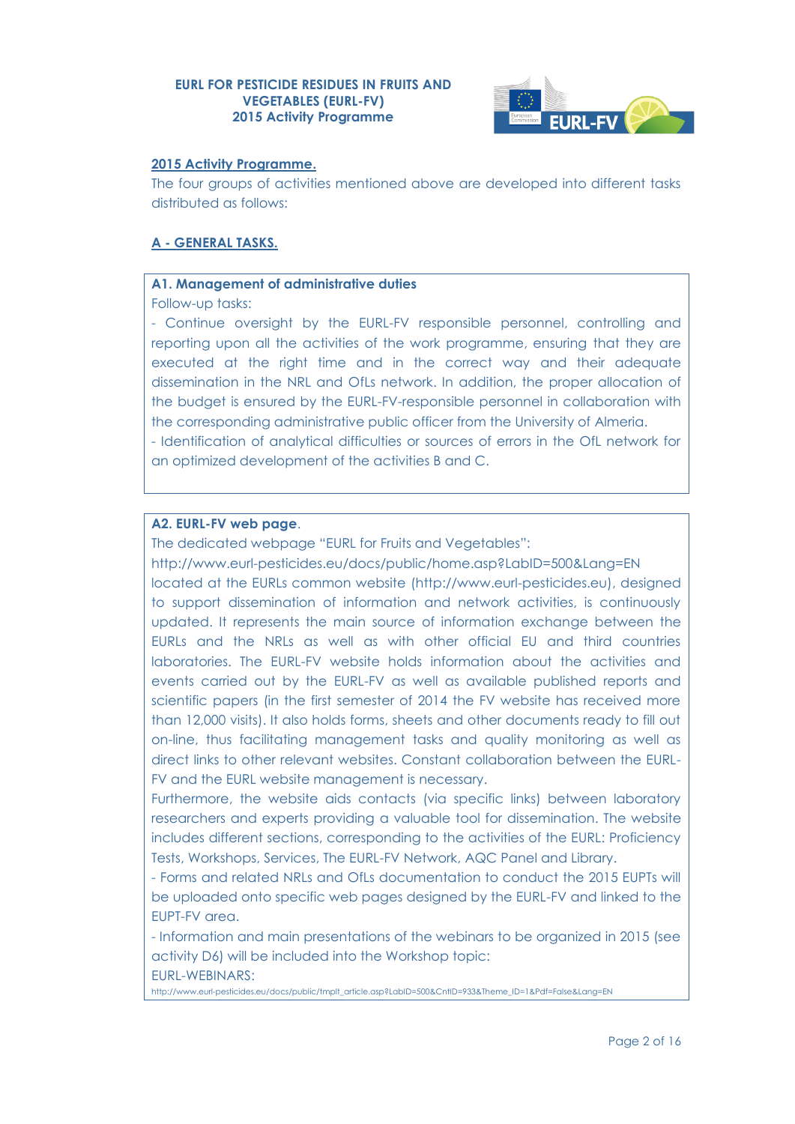

#### **2015 Activity Programme.**

The four groups of activities mentioned above are developed into different tasks distributed as follows:

## **A - GENERAL TASKS.**

#### **A1. Management of administrative duties**

Follow-up tasks:

- Continue oversight by the EURL-FV responsible personnel, controlling and reporting upon all the activities of the work programme, ensuring that they are executed at the right time and in the correct way and their adequate dissemination in the NRL and OfLs network. In addition, the proper allocation of the budget is ensured by the EURL-FV-responsible personnel in collaboration with the corresponding administrative public officer from the University of Almeria.

- Identification of analytical difficulties or sources of errors in the OfL network for an optimized development of the activities B and C.

## **A2. EURL-FV web page**.

The dedicated webpage "EURL for Fruits and Vegetables":

<http://www.eurl-pesticides.eu/docs/public/home.asp?LabID=500&Lang=EN> located at the EURLs common website [\(http://www.eurl-pesticides.eu\)](http://www.eurl-pesticides.eu/), designed to support dissemination of information and network activities, is continuously updated. It represents the main source of information exchange between the EURLs and the NRLs as well as with other official EU and third countries laboratories. The EURL-FV website holds information about the activities and events carried out by the EURL-FV as well as available published reports and scientific papers (in the first semester of 2014 the FV website has received more than 12,000 visits). It also holds forms, sheets and other documents ready to fill out on-line, thus facilitating management tasks and quality monitoring as well as direct links to other relevant websites. Constant collaboration between the EURL-FV and the EURL website management is necessary.

Furthermore, the website aids contacts (via specific links) between laboratory researchers and experts providing a valuable tool for dissemination. The website includes different sections, corresponding to the activities of the EURL: Proficiency Tests, Workshops, Services, The EURL-FV Network, AQC Panel and Library.

- Forms and related NRLs and OfLs documentation to conduct the 2015 FUPTs will be uploaded onto specific web pages designed by the EURL-FV and linked to the EUPT-FV area.

- Information and main presentations of the webinars to be organized in 2015 (see activity D6) will be included into the Workshop topic: EURL-WEBINARS:

[http://www.eurl-pesticides.eu/docs/public/tmplt\\_article.asp?LabID=500&CntID=933&Theme\\_ID=1&Pdf=False&Lang=EN](http://www.eurl-pesticides.eu/docs/public/tmplt_article.asp?LabID=500&CntID=933&Theme_ID=1&Pdf=False&Lang=EN)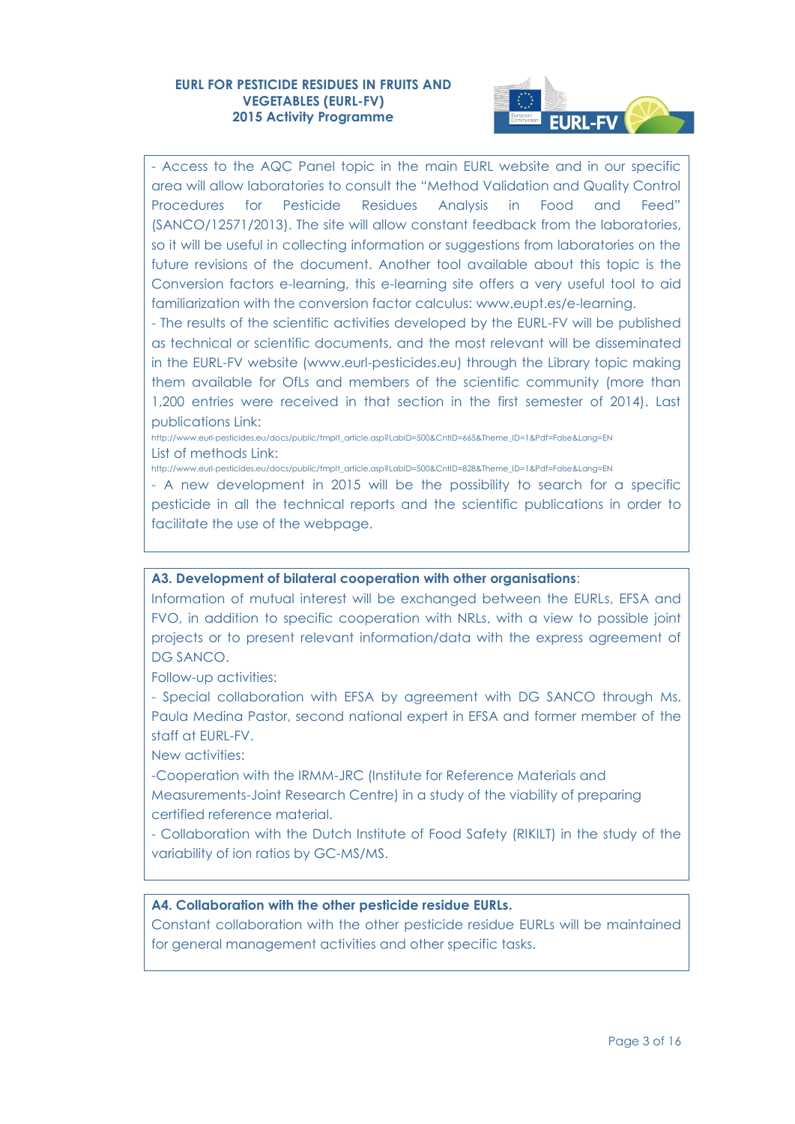

- Access to the AQC Panel topic in the main EURL website and in our specific area will allow laboratories to consult the "Method Validation and Quality Control Procedures for Pesticide Residues Analysis in Food and Feed" (SANCO/12571/2013). The site will allow constant feedback from the laboratories, so it will be useful in collecting information or suggestions from laboratories on the future revisions of the document. Another tool available about this topic is the Conversion factors e-learning, this e-learning site offers a very useful tool to aid familiarization with the conversion factor calculus: [www.eupt.es/e-learning.](http://www.eupt.es/e-learning/)

- The results of the scientific activities developed by the EURL-FV will be published as technical or scientific documents, and the most relevant will be disseminated in the EURL-FV website [\(www.eurl-pesticides.eu\)](http://www.eurl-pesticides.eu/) through the Library topic making them available for OfLs and members of the scientific community (more than 1,200 entries were received in that section in the first semester of 2014). Last publications Link:

[http://www.eurl-pesticides.eu/docs/public/tmplt\\_article.asp?LabID=500&CntID=665&Theme\\_ID=1&Pdf=False&Lang=EN](http://www.eurl-pesticides.eu/docs/public/tmplt_article.asp?LabID=500&CntID=665&Theme_ID=1&Pdf=False&Lang=EN) List of methods Link:

[http://www.eurl-pesticides.eu/docs/public/tmplt\\_article.asp?LabID=500&CntID=828&Theme\\_ID=1&Pdf=False&Lang=EN](http://www.eurl-pesticides.eu/docs/public/tmplt_article.asp?LabID=500&CntID=828&Theme_ID=1&Pdf=False&Lang=EN)

- A new development in 2015 will be the possibility to search for a specific pesticide in all the technical reports and the scientific publications in order to facilitate the use of the webpage.

#### **A3. Development of bilateral cooperation with other organisations**:

Information of mutual interest will be exchanged between the EURLs, EFSA and FVO, in addition to specific cooperation with NRLs, with a view to possible joint projects or to present relevant information/data with the express agreement of DG SANCO.

Follow-up activities:

- Special collaboration with EFSA by agreement with DG SANCO through Ms. Paula Medina Pastor, second national expert in EFSA and former member of the staff at EURL-FV.

New activities:

-Cooperation with the IRMM-JRC (Institute for Reference Materials and Measurements-Joint Research Centre) in a study of the viability of preparing certified reference material.

- Collaboration with the Dutch Institute of Food Safety (RIKILT) in the study of the variability of ion ratios by GC-MS/MS.

#### **A4. Collaboration with the other pesticide residue EURLs.**

Constant collaboration with the other pesticide residue EURLs will be maintained for general management activities and other specific tasks.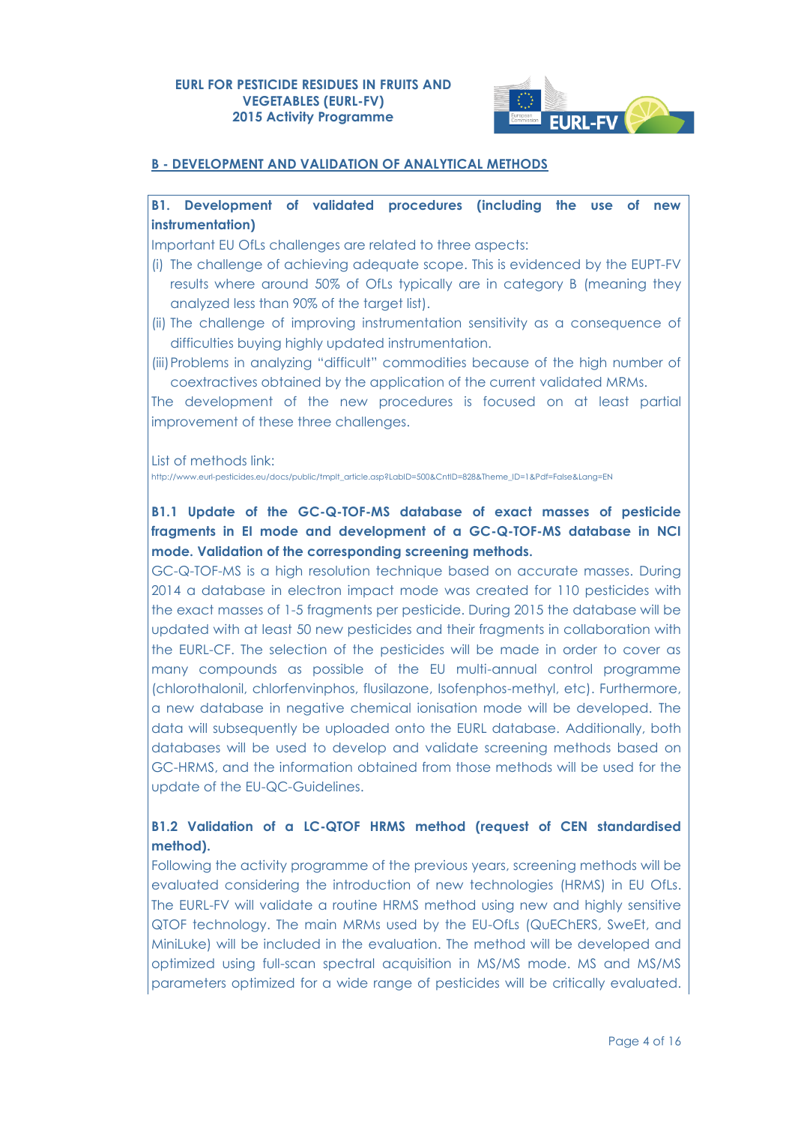

## **B - DEVELOPMENT AND VALIDATION OF ANALYTICAL METHODS**

## **B1. Development of validated procedures (including the use of new instrumentation)**

Important EU OfLs challenges are related to three aspects:

- (i) The challenge of achieving adequate scope. This is evidenced by the EUPT-FV results where around 50% of OfLs typically are in category B (meaning they analyzed less than 90% of the target list).
- (ii) The challenge of improving instrumentation sensitivity as a consequence of difficulties buying highly updated instrumentation.
- (iii)Problems in analyzing "difficult" commodities because of the high number of coextractives obtained by the application of the current validated MRMs.

The development of the new procedures is focused on at least partial improvement of these three challenges.

List of methods link:

[http://www.eurl-pesticides.eu/docs/public/tmplt\\_article.asp?LabID=500&CntID=828&Theme\\_ID=1&Pdf=False&Lang=EN](http://www.eurl-pesticides.eu/docs/public/tmplt_article.asp?LabID=500&CntID=828&Theme_ID=1&Pdf=False&Lang=EN)

# **B1.1 Update of the GC-Q-TOF-MS database of exact masses of pesticide fragments in EI mode and development of a GC-Q-TOF-MS database in NCI mode. Validation of the corresponding screening methods.**

GC-Q-TOF-MS is a high resolution technique based on accurate masses. During 2014 a database in electron impact mode was created for 110 pesticides with the exact masses of 1-5 fragments per pesticide. During 2015 the database will be updated with at least 50 new pesticides and their fragments in collaboration with the EURL-CF. The selection of the pesticides will be made in order to cover as many compounds as possible of the EU multi-annual control programme (chlorothalonil, chlorfenvinphos, flusilazone, Isofenphos-methyl, etc). Furthermore, a new database in negative chemical ionisation mode will be developed. The data will subsequently be uploaded onto the EURL database. Additionally, both databases will be used to develop and validate screening methods based on GC-HRMS, and the information obtained from those methods will be used for the update of the EU-QC-Guidelines.

# **B1.2 Validation of a LC-QTOF HRMS method (request of CEN standardised method).**

Following the activity programme of the previous years, screening methods will be evaluated considering the introduction of new technologies (HRMS) in EU OfLs. The EURL-FV will validate a routine HRMS method using new and highly sensitive QTOF technology. The main MRMs used by the EU-OfLs (QuEChERS, SweEt, and MiniLuke) will be included in the evaluation. The method will be developed and optimized using full-scan spectral acquisition in MS/MS mode. MS and MS/MS parameters optimized for a wide range of pesticides will be critically evaluated.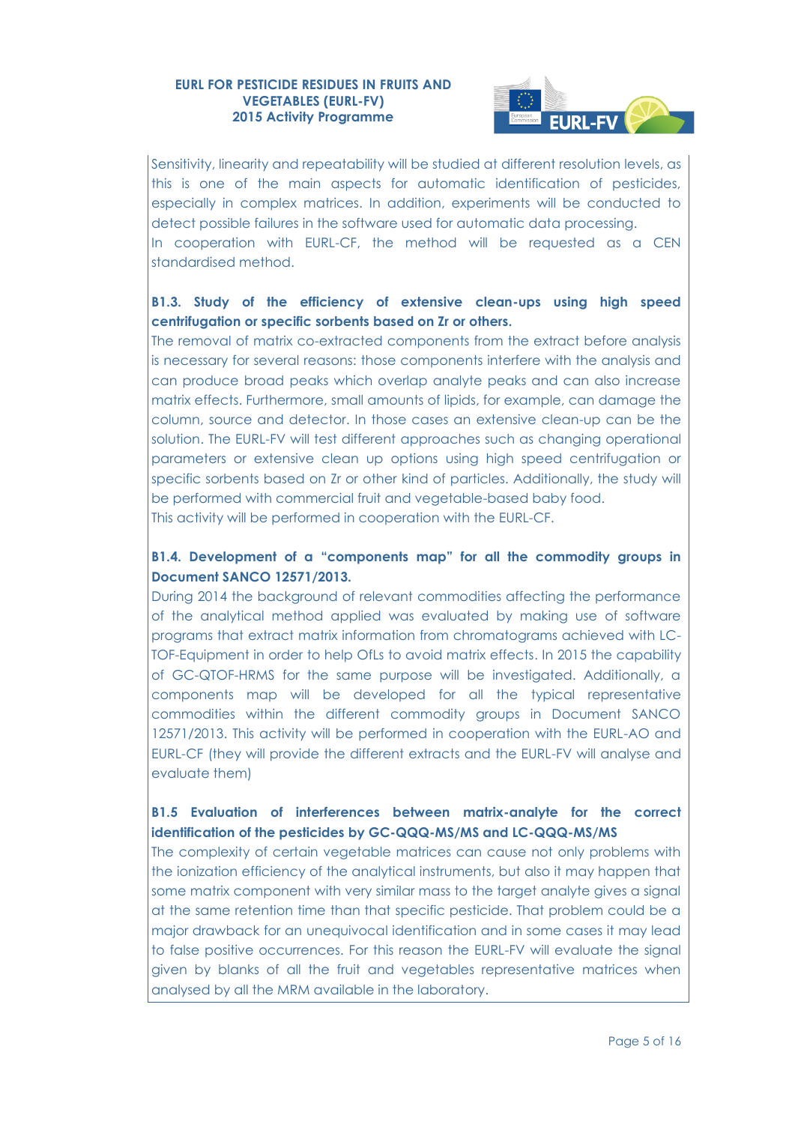

Sensitivity, linearity and repeatability will be studied at different resolution levels, as this is one of the main aspects for automatic identification of pesticides, especially in complex matrices. In addition, experiments will be conducted to detect possible failures in the software used for automatic data processing. In cooperation with EURL-CF, the method will be requested as a CEN standardised method.

# **B1.3. Study of the efficiency of extensive clean-ups using high speed centrifugation or specific sorbents based on Zr or others.**

The removal of matrix co-extracted components from the extract before analysis is necessary for several reasons: those components interfere with the analysis and can produce broad peaks which overlap analyte peaks and can also increase matrix effects. Furthermore, small amounts of lipids, for example, can damage the column, source and detector. In those cases an extensive clean-up can be the solution. The EURL-FV will test different approaches such as changing operational parameters or extensive clean up options using high speed centrifugation or specific sorbents based on Zr or other kind of particles. Additionally, the study will be performed with commercial fruit and vegetable-based baby food. This activity will be performed in cooperation with the EURL-CF.

## **B1.4. Development of a "components map" for all the commodity groups in Document SANCO 12571/2013.**

During 2014 the background of relevant commodities affecting the performance of the analytical method applied was evaluated by making use of software programs that extract matrix information from chromatograms achieved with LC-TOF-Equipment in order to help OfLs to avoid matrix effects. In 2015 the capability of GC-QTOF-HRMS for the same purpose will be investigated. Additionally, a components map will be developed for all the typical representative commodities within the different commodity groups in Document SANCO 12571/2013. This activity will be performed in cooperation with the EURL-AO and EURL-CF (they will provide the different extracts and the EURL-FV will analyse and evaluate them)

## **B1.5 Evaluation of interferences between matrix-analyte for the correct identification of the pesticides by GC-QQQ-MS/MS and LC-QQQ-MS/MS**

The complexity of certain vegetable matrices can cause not only problems with the ionization efficiency of the analytical instruments, but also it may happen that some matrix component with very similar mass to the target analyte gives a signal at the same retention time than that specific pesticide. That problem could be a major drawback for an unequivocal identification and in some cases it may lead to false positive occurrences. For this reason the EURL-FV will evaluate the signal given by blanks of all the fruit and vegetables representative matrices when analysed by all the MRM available in the laboratory.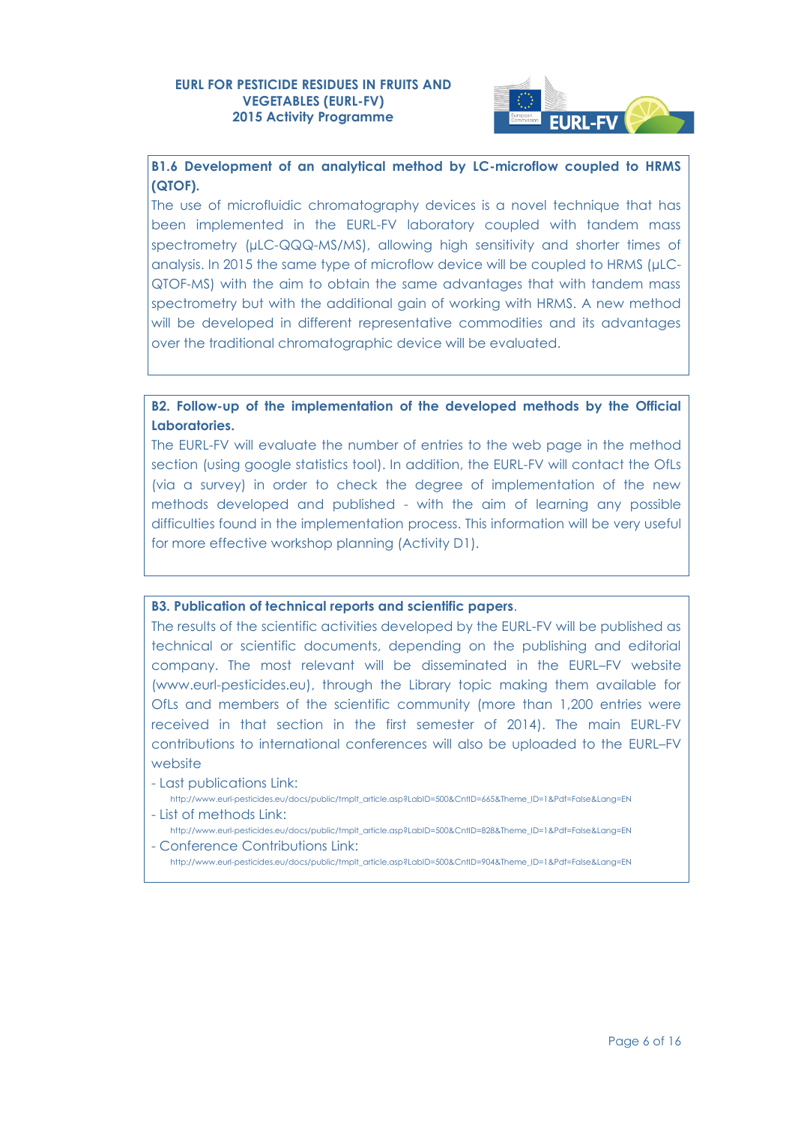

**B1.6 Development of an analytical method by LC-microflow coupled to HRMS (QTOF).**

The use of microfluidic chromatography devices is a novel technique that has been implemented in the EURL-FV laboratory coupled with tandem mass spectrometry (µLC-QQQ-MS/MS), allowing high sensitivity and shorter times of analysis. In 2015 the same type of microflow device will be coupled to HRMS (µLC-QTOF-MS) with the aim to obtain the same advantages that with tandem mass spectrometry but with the additional gain of working with HRMS. A new method will be developed in different representative commodities and its advantages over the traditional chromatographic device will be evaluated.

**B2. Follow-up of the implementation of the developed methods by the Official Laboratories.**

The EURL-FV will evaluate the number of entries to the web page in the method section (using google statistics tool). In addition, the EURL-FV will contact the OfLs (via a survey) in order to check the degree of implementation of the new methods developed and published - with the aim of learning any possible difficulties found in the implementation process. This information will be very useful for more effective workshop planning (Activity D1).

#### **B3. Publication of technical reports and scientific papers**.

The results of the scientific activities developed by the EURL-FV will be published as technical or scientific documents, depending on the publishing and editorial company. The most relevant will be disseminated in the EURL–FV website [\(www.eurl-pesticides.eu\)](http://www.eurl-pesticides.eu/), through the Library topic making them available for OfLs and members of the scientific community (more than 1,200 entries were received in that section in the first semester of 2014). The main EURL-FV contributions to international conferences will also be uploaded to the EURL–FV website

- Last publications Link:

- [http://www.eurl-pesticides.eu/docs/public/tmplt\\_article.asp?LabID=500&CntID=665&Theme\\_ID=1&Pdf=False&Lang=EN](http://www.eurl-pesticides.eu/docs/public/tmplt_article.asp?LabID=500&CntID=665&Theme_ID=1&Pdf=False&Lang=EN) - List of methods Link:
- [http://www.eurl-pesticides.eu/docs/public/tmplt\\_article.asp?LabID=500&CntID=828&Theme\\_ID=1&Pdf=False&Lang=EN](http://www.eurl-pesticides.eu/docs/public/tmplt_article.asp?LabID=500&CntID=828&Theme_ID=1&Pdf=False&Lang=EN) - Conference Contributions Link:
	- [http://www.eurl-pesticides.eu/docs/public/tmplt\\_article.asp?LabID=500&CntID=904&Theme\\_ID=1&Pdf=False&Lang=EN](http://www.eurl-pesticides.eu/docs/public/tmplt_article.asp?LabID=500&CntID=904&Theme_ID=1&Pdf=False&Lang=EN)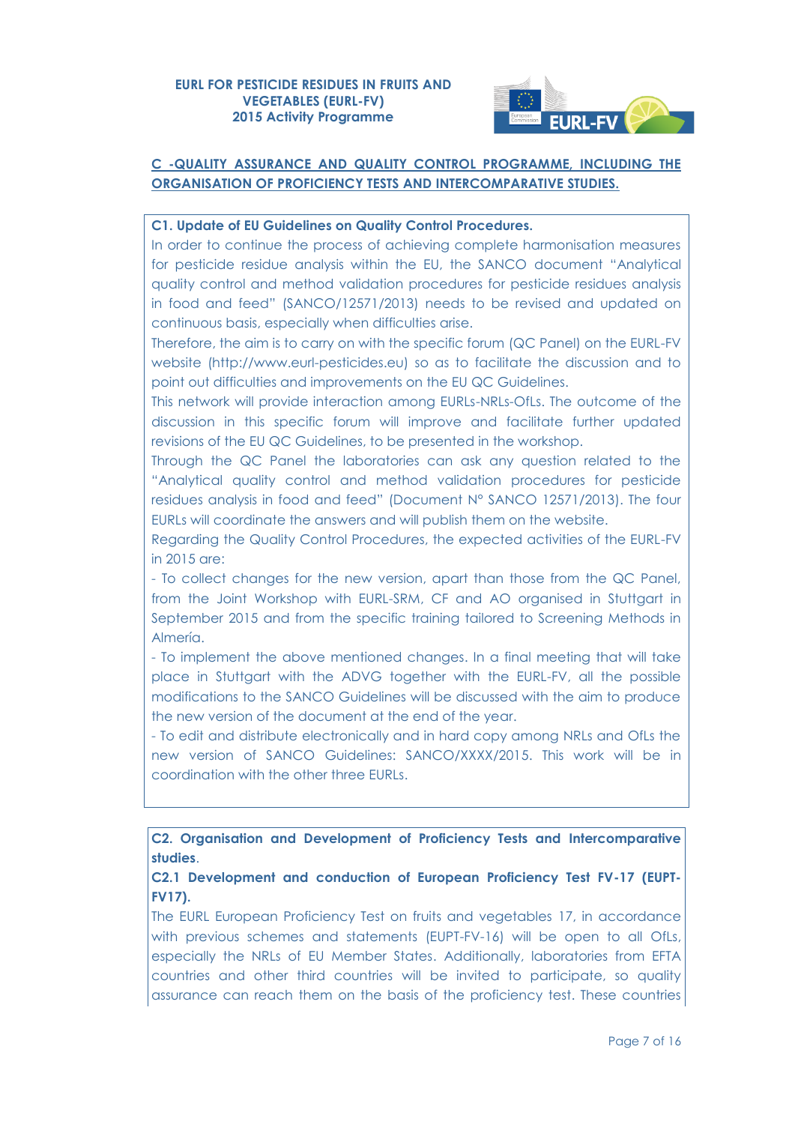

# **C -QUALITY ASSURANCE AND QUALITY CONTROL PROGRAMME, INCLUDING THE ORGANISATION OF PROFICIENCY TESTS AND INTERCOMPARATIVE STUDIES.**

## **C1. Update of EU Guidelines on Quality Control Procedures.**

In order to continue the process of achieving complete harmonisation measures for pesticide residue analysis within the EU, the SANCO document "Analytical quality control and method validation procedures for pesticide residues analysis in food and feed" (SANCO/12571/2013) needs to be revised and updated on continuous basis, especially when difficulties arise.

Therefore, the aim is to carry on with the specific forum (QC Panel) on the EURL-FV website (http://www.eurl-pesticides.eu) so as to facilitate the discussion and to point out difficulties and improvements on the EU QC Guidelines.

This network will provide interaction among EURLs-NRLs-OfLs. The outcome of the discussion in this specific forum will improve and facilitate further updated revisions of the EU QC Guidelines, to be presented in the workshop.

Through the QC Panel the laboratories can ask any question related to the "Analytical quality control and method validation procedures for pesticide residues analysis in food and feed" (Document N° SANCO 12571/2013). The four EURLs will coordinate the answers and will publish them on the website.

Regarding the Quality Control Procedures, the expected activities of the EURL-FV in 2015 are:

- To collect changes for the new version, apart than those from the QC Panel, from the Joint Workshop with EURL-SRM, CF and AO organised in Stuttgart in September 2015 and from the specific training tailored to Screening Methods in Almería.

- To implement the above mentioned changes. In a final meeting that will take place in Stuttgart with the ADVG together with the EURL-FV, all the possible modifications to the SANCO Guidelines will be discussed with the aim to produce the new version of the document at the end of the year.

- To edit and distribute electronically and in hard copy among NRLs and OfLs the new version of SANCO Guidelines: SANCO/XXXX/2015. This work will be in coordination with the other three EURLs.

**C2. Organisation and Development of Proficiency Tests and Intercomparative studies**.

**C2.1 Development and conduction of European Proficiency Test FV-17 (EUPT-FV17).**

The EURL European Proficiency Test on fruits and vegetables 17, in accordance with previous schemes and statements (EUPT-FV-16) will be open to all OfLs, especially the NRLs of EU Member States. Additionally, laboratories from EFTA countries and other third countries will be invited to participate, so quality assurance can reach them on the basis of the proficiency test. These countries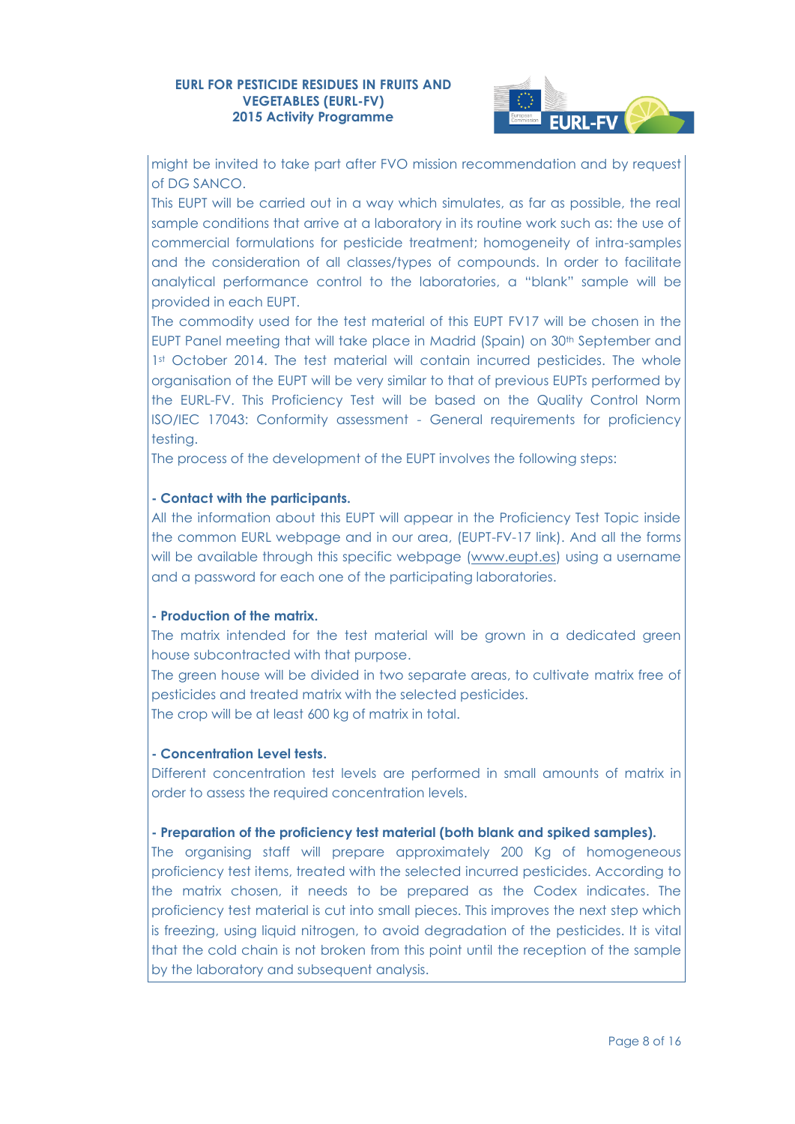

might be invited to take part after FVO mission recommendation and by request of DG SANCO.

This EUPT will be carried out in a way which simulates, as far as possible, the real sample conditions that arrive at a laboratory in its routine work such as: the use of commercial formulations for pesticide treatment; homogeneity of intra-samples and the consideration of all classes/types of compounds. In order to facilitate analytical performance control to the laboratories, a "blank" sample will be provided in each EUPT.

The commodity used for the test material of this EUPT FV17 will be chosen in the EUPT Panel meeting that will take place in Madrid (Spain) on 30th September and 1st October 2014. The test material will contain incurred pesticides. The whole organisation of the EUPT will be very similar to that of previous EUPTs performed by the EURL-FV. This Proficiency Test will be based on the Quality Control Norm ISO/IEC 17043: Conformity assessment - General requirements for proficiency testing.

The process of the development of the EUPT involves the following steps:

## **- Contact with the participants.**

All the information about this EUPT will appear in the Proficiency Test Topic inside the common EURL webpage and in our area, (EUPT-FV-17 link). And all the forms will be available through this specific webpage [\(www.eupt.es\)](http://www.eupt.es/) using a username and a password for each one of the participating laboratories.

## **- Production of the matrix.**

The matrix intended for the test material will be grown in a dedicated green house subcontracted with that purpose.

The green house will be divided in two separate areas, to cultivate matrix free of pesticides and treated matrix with the selected pesticides. The crop will be at least 600 kg of matrix in total.

#### **- Concentration Level tests.**

Different concentration test levels are performed in small amounts of matrix in order to assess the required concentration levels.

## **- Preparation of the proficiency test material (both blank and spiked samples).**

The organising staff will prepare approximately 200 Kg of homogeneous proficiency test items, treated with the selected incurred pesticides. According to the matrix chosen, it needs to be prepared as the Codex indicates. The proficiency test material is cut into small pieces. This improves the next step which is freezing, using liquid nitrogen, to avoid degradation of the pesticides. It is vital that the cold chain is not broken from this point until the reception of the sample by the laboratory and subsequent analysis.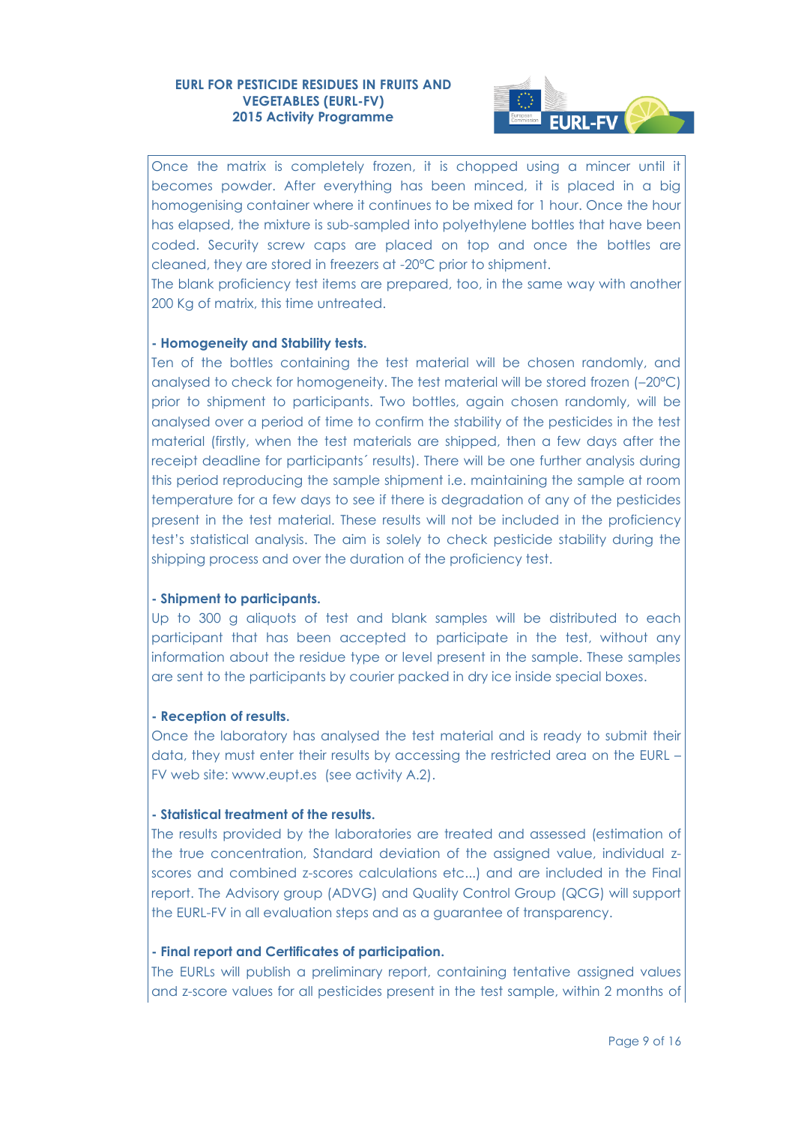

Once the matrix is completely frozen, it is chopped using a mincer until it becomes powder. After everything has been minced, it is placed in a big homogenising container where it continues to be mixed for 1 hour. Once the hour has elapsed, the mixture is sub-sampled into polyethylene bottles that have been coded. Security screw caps are placed on top and once the bottles are cleaned, they are stored in freezers at -20ºC prior to shipment.

The blank proficiency test items are prepared, too, in the same way with another 200 Kg of matrix, this time untreated.

## **- Homogeneity and Stability tests.**

Ten of the bottles containing the test material will be chosen randomly, and analysed to check for homogeneity. The test material will be stored frozen (–20ºC) prior to shipment to participants. Two bottles, again chosen randomly, will be analysed over a period of time to confirm the stability of the pesticides in the test material (firstly, when the test materials are shipped, then a few days after the receipt deadline for participants´ results). There will be one further analysis during this period reproducing the sample shipment i.e. maintaining the sample at room temperature for a few days to see if there is degradation of any of the pesticides present in the test material. These results will not be included in the proficiency test's statistical analysis. The aim is solely to check pesticide stability during the shipping process and over the duration of the proficiency test.

#### **- Shipment to participants.**

Up to 300 g aliquots of test and blank samples will be distributed to each participant that has been accepted to participate in the test, without any information about the residue type or level present in the sample. These samples are sent to the participants by courier packed in dry ice inside special boxes.

#### **- Reception of results.**

Once the laboratory has analysed the test material and is ready to submit their data, they must enter their results by accessing the restricted area on the EURL – FV web site: [www.eupt.es](http://www.eupt.es/) (see activity A.2).

#### **- Statistical treatment of the results.**

The results provided by the laboratories are treated and assessed (estimation of the true concentration, Standard deviation of the assigned value, individual zscores and combined z-scores calculations etc...) and are included in the Final report. The Advisory group (ADVG) and Quality Control Group (QCG) will support the EURL-FV in all evaluation steps and as a guarantee of transparency.

#### **- Final report and Certificates of participation.**

The EURLs will publish a preliminary report, containing tentative assigned values and z-score values for all pesticides present in the test sample, within 2 months of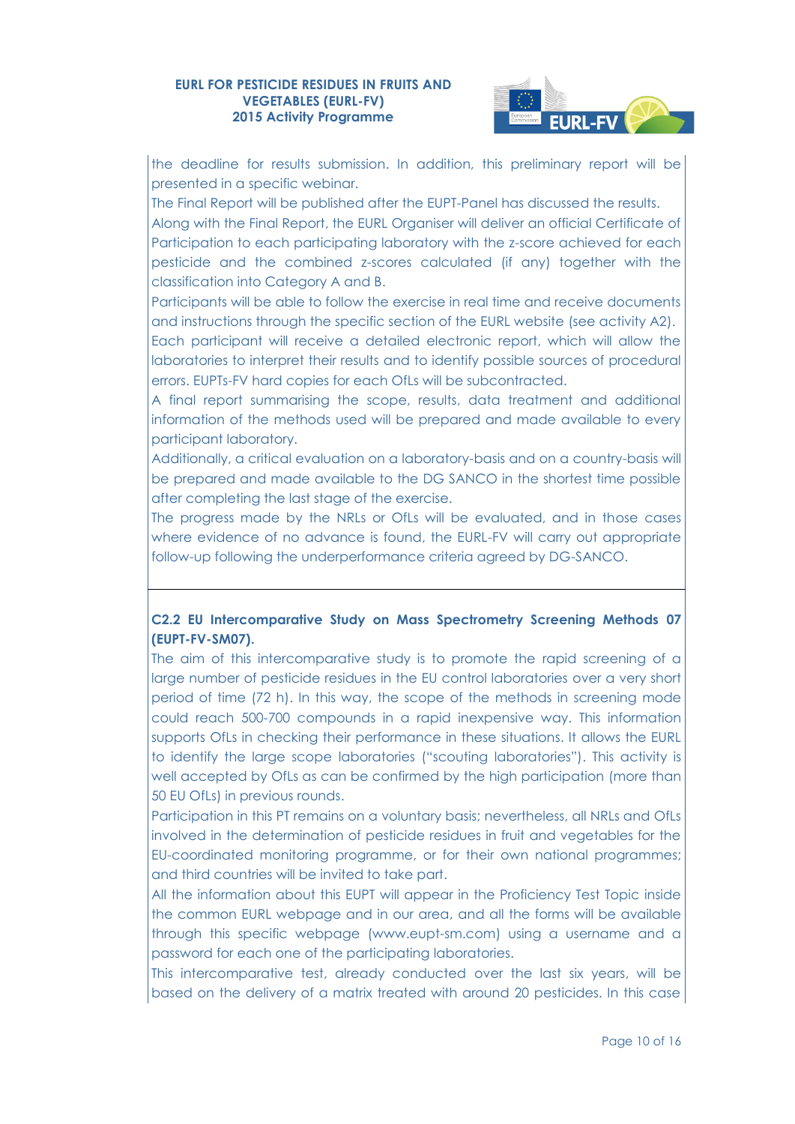

the deadline for results submission. In addition, this preliminary report will be presented in a specific webinar.

The Final Report will be published after the EUPT-Panel has discussed the results. Along with the Final Report, the EURL Organiser will deliver an official Certificate of Participation to each participating laboratory with the z-score achieved for each pesticide and the combined z-scores calculated (if any) together with the classification into Category A and B.

Participants will be able to follow the exercise in real time and receive documents and instructions through the specific section of the EURL website (see activity A2).

Each participant will receive a detailed electronic report, which will allow the laboratories to interpret their results and to identify possible sources of procedural errors. EUPTs-FV hard copies for each OfLs will be subcontracted.

A final report summarising the scope, results, data treatment and additional information of the methods used will be prepared and made available to every participant laboratory.

Additionally, a critical evaluation on a laboratory-basis and on a country-basis will be prepared and made available to the DG SANCO in the shortest time possible after completing the last stage of the exercise.

The progress made by the NRLs or OfLs will be evaluated, and in those cases where evidence of no advance is found, the EURL-FV will carry out appropriate follow-up following the underperformance criteria agreed by DG-SANCO.

## **C2.2 EU Intercomparative Study on Mass Spectrometry Screening Methods 07 (EUPT-FV-SM07).**

The aim of this intercomparative study is to promote the rapid screening of a large number of pesticide residues in the EU control laboratories over a very short period of time (72 h). In this way, the scope of the methods in screening mode could reach 500-700 compounds in a rapid inexpensive way. This information supports OfLs in checking their performance in these situations. It allows the EURL to identify the large scope laboratories ("scouting laboratories"). This activity is well accepted by OfLs as can be confirmed by the high participation (more than 50 EU OfLs) in previous rounds.

Participation in this PT remains on a voluntary basis; nevertheless, all NRLs and OfLs involved in the determination of pesticide residues in fruit and vegetables for the EU-coordinated monitoring programme, or for their own national programmes; and third countries will be invited to take part.

All the information about this EUPT will appear in the Proficiency Test Topic inside the common EURL webpage and in our area, and all the forms will be available through this specific webpage [\(www.eupt-sm.com\)](http://www.eupt-sm.com/) using a username and a password for each one of the participating laboratories.

This intercomparative test, already conducted over the last six years, will be based on the delivery of a matrix treated with around 20 pesticides. In this case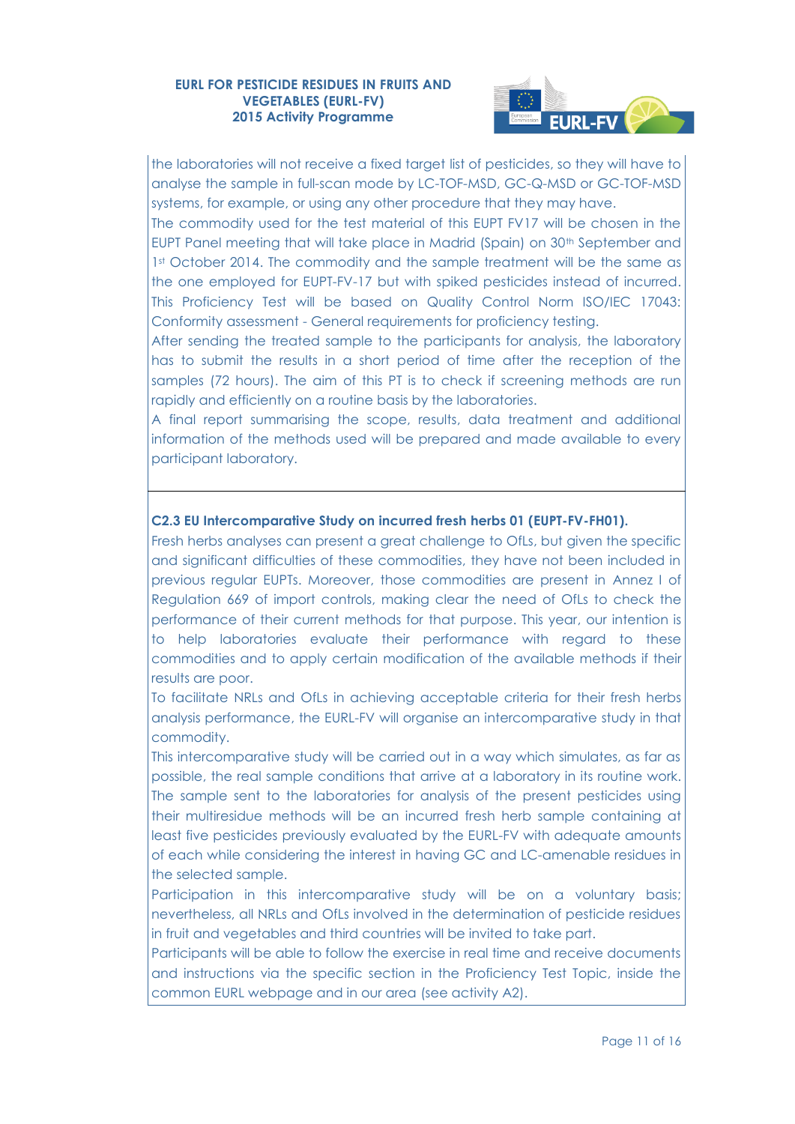

the laboratories will not receive a fixed target list of pesticides, so they will have to analyse the sample in full-scan mode by LC-TOF-MSD, GC-Q-MSD or GC-TOF-MSD systems, for example, or using any other procedure that they may have.

The commodity used for the test material of this EUPT FV17 will be chosen in the EUPT Panel meeting that will take place in Madrid (Spain) on 30<sup>th</sup> September and 1st October 2014. The commodity and the sample treatment will be the same as the one employed for EUPT-FV-17 but with spiked pesticides instead of incurred. This Proficiency Test will be based on Quality Control Norm ISO/IEC 17043: Conformity assessment - General requirements for proficiency testing.

After sending the treated sample to the participants for analysis, the laboratory has to submit the results in a short period of time after the reception of the samples (72 hours). The aim of this PT is to check if screening methods are run rapidly and efficiently on a routine basis by the laboratories.

A final report summarising the scope, results, data treatment and additional information of the methods used will be prepared and made available to every participant laboratory.

#### **C2.3 EU Intercomparative Study on incurred fresh herbs 01 (EUPT-FV-FH01).**

Fresh herbs analyses can present a great challenge to OfLs, but given the specific and significant difficulties of these commodities, they have not been included in previous regular EUPTs. Moreover, those commodities are present in Annez I of Regulation 669 of import controls, making clear the need of OfLs to check the performance of their current methods for that purpose. This year, our intention is to help laboratories evaluate their performance with regard to these commodities and to apply certain modification of the available methods if their results are poor.

To facilitate NRLs and OfLs in achieving acceptable criteria for their fresh herbs analysis performance, the EURL-FV will organise an intercomparative study in that commodity.

This intercomparative study will be carried out in a way which simulates, as far as possible, the real sample conditions that arrive at a laboratory in its routine work. The sample sent to the laboratories for analysis of the present pesticides using their multiresidue methods will be an incurred fresh herb sample containing at least five pesticides previously evaluated by the EURL-FV with adequate amounts of each while considering the interest in having GC and LC-amenable residues in the selected sample.

Participation in this intercomparative study will be on a voluntary basis; nevertheless, all NRLs and OfLs involved in the determination of pesticide residues in fruit and vegetables and third countries will be invited to take part.

Participants will be able to follow the exercise in real time and receive documents and instructions via the specific section in the Proficiency Test Topic, inside the common EURL webpage and in our area (see activity A2).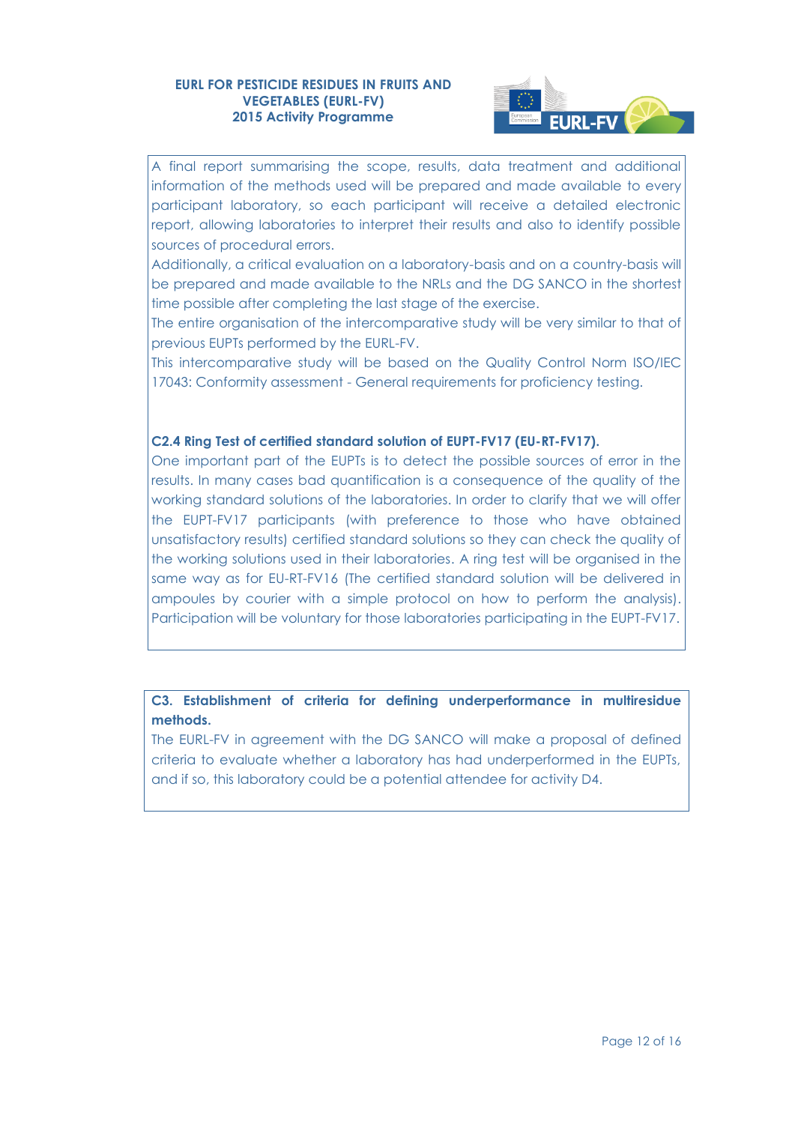

A final report summarising the scope, results, data treatment and additional information of the methods used will be prepared and made available to every participant laboratory, so each participant will receive a detailed electronic report, allowing laboratories to interpret their results and also to identify possible sources of procedural errors.

Additionally, a critical evaluation on a laboratory-basis and on a country-basis will be prepared and made available to the NRLs and the DG SANCO in the shortest time possible after completing the last stage of the exercise.

The entire organisation of the intercomparative study will be very similar to that of previous EUPTs performed by the EURL-FV.

This intercomparative study will be based on the Quality Control Norm ISO/IEC 17043: Conformity assessment - General requirements for proficiency testing.

## **C2.4 Ring Test of certified standard solution of EUPT-FV17 (EU-RT-FV17).**

One important part of the EUPTs is to detect the possible sources of error in the results. In many cases bad quantification is a consequence of the quality of the working standard solutions of the laboratories. In order to clarify that we will offer the EUPT-FV17 participants (with preference to those who have obtained unsatisfactory results) certified standard solutions so they can check the quality of the working solutions used in their laboratories. A ring test will be organised in the same way as for EU-RT-FV16 (The certified standard solution will be delivered in ampoules by courier with a simple protocol on how to perform the analysis). Participation will be voluntary for those laboratories participating in the EUPT-FV17.

## **C3. Establishment of criteria for defining underperformance in multiresidue methods.**

The EURL-FV in agreement with the DG SANCO will make a proposal of defined criteria to evaluate whether a laboratory has had underperformed in the EUPTs, and if so, this laboratory could be a potential attendee for activity D4.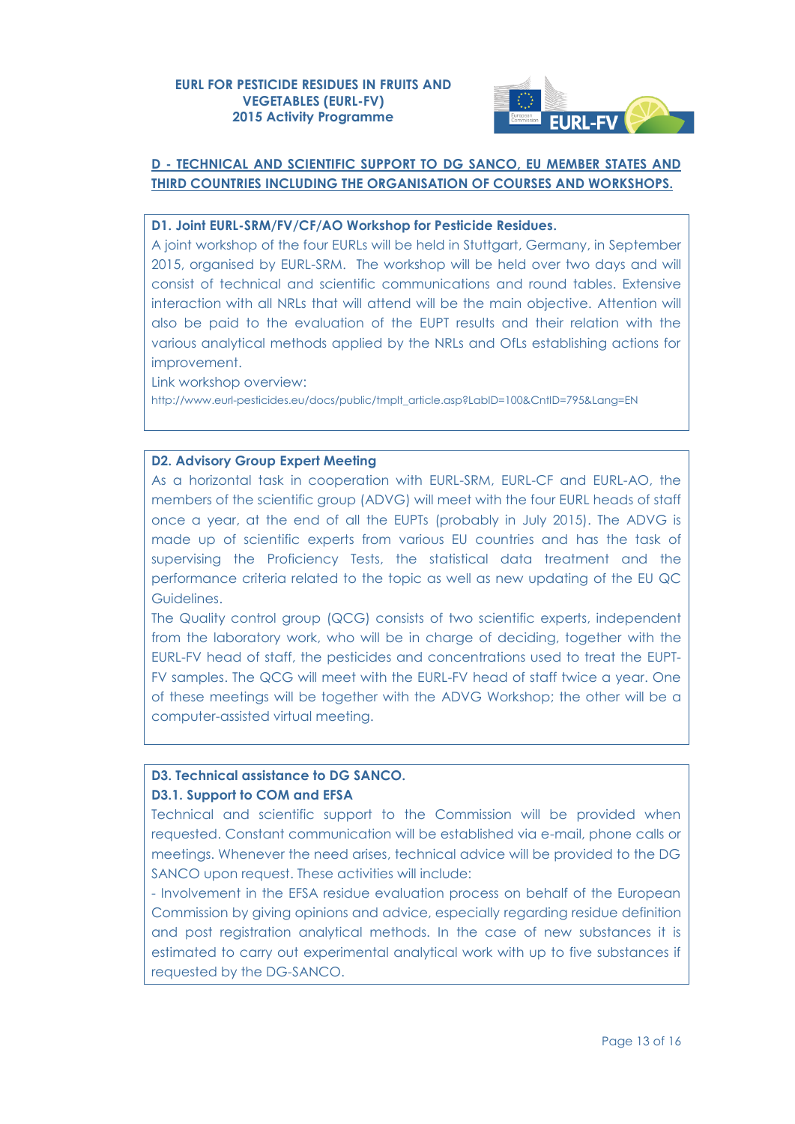

# **D - TECHNICAL AND SCIENTIFIC SUPPORT TO DG SANCO, EU MEMBER STATES AND THIRD COUNTRIES INCLUDING THE ORGANISATION OF COURSES AND WORKSHOPS.**

## **D1. Joint EURL-SRM/FV/CF/AO Workshop for Pesticide Residues.**

A joint workshop of the four EURLs will be held in Stuttgart, Germany, in September 2015, organised by EURL-SRM. The workshop will be held over two days and will consist of technical and scientific communications and round tables. Extensive interaction with all NRLs that will attend will be the main objective. Attention will also be paid to the evaluation of the EUPT results and their relation with the various analytical methods applied by the NRLs and OfLs establishing actions for improvement.

Link workshop overview: [http://www.eurl-pesticides.eu/docs/public/tmplt\\_article.asp?LabID=100&CntID=795&Lang=EN](http://www.eurl-pesticides.eu/docs/public/tmplt_article.asp?LabID=100&CntID=795&Lang=EN)

#### **D2. Advisory Group Expert Meeting**

As a horizontal task in cooperation with EURL-SRM, EURL-CF and EURL-AO, the members of the scientific group (ADVG) will meet with the four EURL heads of staff once a year, at the end of all the EUPTs (probably in July 2015). The ADVG is made up of scientific experts from various EU countries and has the task of supervising the Proficiency Tests, the statistical data treatment and the performance criteria related to the topic as well as new updating of the EU QC Guidelines.

The Quality control group (QCG) consists of two scientific experts, independent from the laboratory work, who will be in charge of deciding, together with the EURL-FV head of staff, the pesticides and concentrations used to treat the EUPT-FV samples. The QCG will meet with the EURL-FV head of staff twice a year. One of these meetings will be together with the ADVG Workshop; the other will be a computer-assisted virtual meeting.

## **D3. Technical assistance to DG SANCO. D3.1. Support to COM and EFSA**

Technical and scientific support to the Commission will be provided when requested. Constant communication will be established via e-mail, phone calls or meetings. Whenever the need arises, technical advice will be provided to the DG SANCO upon request. These activities will include:

- Involvement in the EFSA residue evaluation process on behalf of the European Commission by giving opinions and advice, especially regarding residue definition and post registration analytical methods. In the case of new substances it is estimated to carry out experimental analytical work with up to five substances if requested by the DG-SANCO.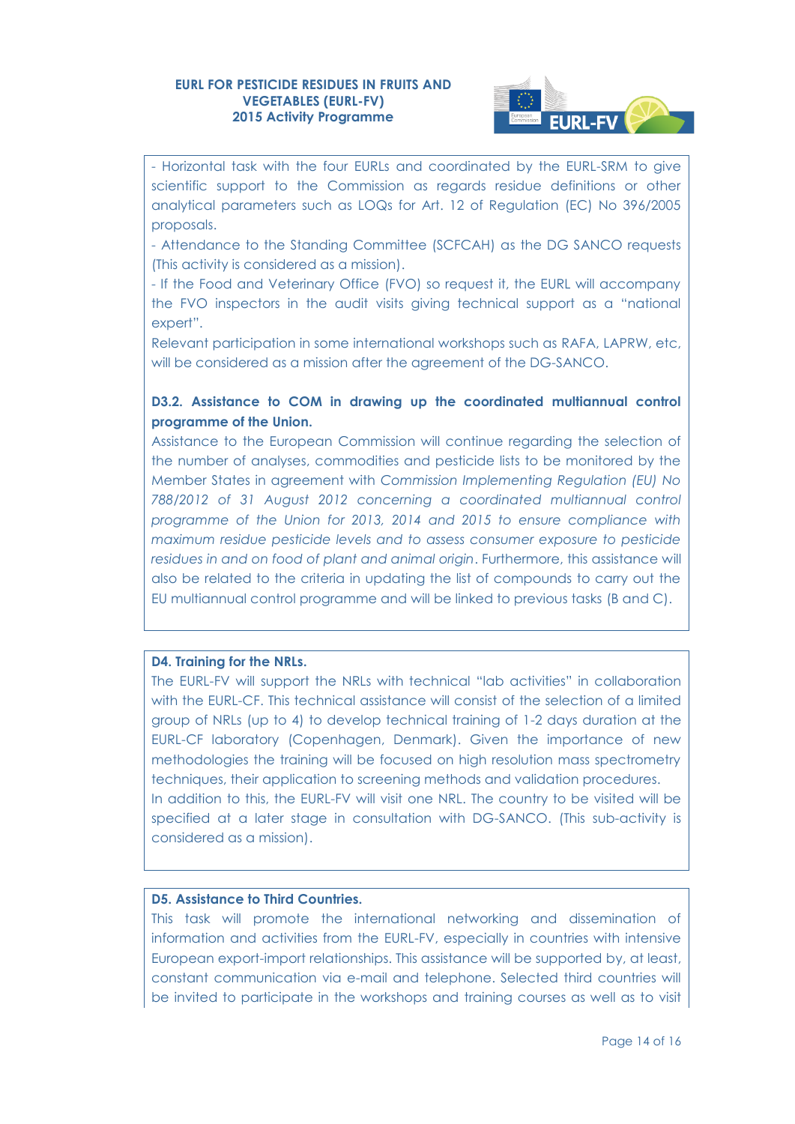

- Horizontal task with the four EURLs and coordinated by the EURL-SRM to give scientific support to the Commission as regards residue definitions or other analytical parameters such as LOQs for Art. 12 of Regulation (EC) No 396/2005 proposals.

- Attendance to the Standing Committee (SCFCAH) as the DG SANCO requests (This activity is considered as a mission).

- If the Food and Veterinary Office (FVO) so request it, the EURL will accompany the FVO inspectors in the audit visits giving technical support as a "national expert".

Relevant participation in some international workshops such as RAFA, LAPRW, etc, will be considered as a mission after the agreement of the DG-SANCO.

## **D3.2. Assistance to COM in drawing up the coordinated multiannual control programme of the Union.**

Assistance to the European Commission will continue regarding the selection of the number of analyses, commodities and pesticide lists to be monitored by the Member States in agreement with *Commission Implementing Regulation (EU) No 788/2012 of 31 August 2012 concerning a coordinated multiannual control programme of the Union for 2013, 2014 and 2015 to ensure compliance with maximum residue pesticide levels and to assess consumer exposure to pesticide residues in and on food of plant and animal origin*. Furthermore, this assistance will also be related to the criteria in updating the list of compounds to carry out the EU multiannual control programme and will be linked to previous tasks (B and C).

#### **D4. Training for the NRLs.**

The EURL-FV will support the NRLs with technical "lab activities" in collaboration with the EURL-CF. This technical assistance will consist of the selection of a limited group of NRLs (up to 4) to develop technical training of 1-2 days duration at the EURL-CF laboratory (Copenhagen, Denmark). Given the importance of new methodologies the training will be focused on high resolution mass spectrometry techniques, their application to screening methods and validation procedures. In addition to this, the EURL-FV will visit one NRL. The country to be visited will be specified at a later stage in consultation with DG-SANCO. (This sub-activity is considered as a mission).

## **D5. Assistance to Third Countries.**

This task will promote the international networking and dissemination of information and activities from the EURL-FV, especially in countries with intensive European export-import relationships. This assistance will be supported by, at least, constant communication via e-mail and telephone. Selected third countries will be invited to participate in the workshops and training courses as well as to visit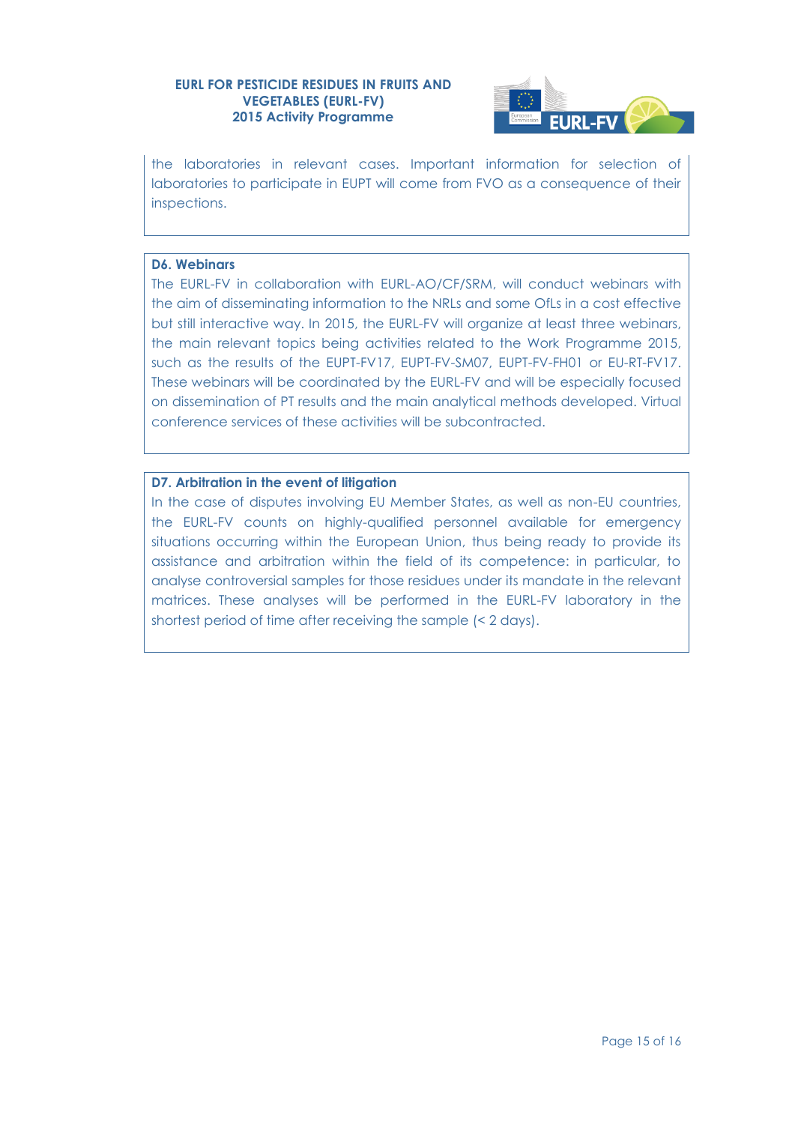

the laboratories in relevant cases. Important information for selection of laboratories to participate in EUPT will come from FVO as a consequence of their inspections.

#### **D6. Webinars**

The EURL-FV in collaboration with EURL-AO/CF/SRM, will conduct webinars with the aim of disseminating information to the NRLs and some OfLs in a cost effective but still interactive way. In 2015, the EURL-FV will organize at least three webinars, the main relevant topics being activities related to the Work Programme 2015, such as the results of the EUPT-FV17, EUPT-FV-SM07, EUPT-FV-FH01 or EU-RT-FV17. These webinars will be coordinated by the EURL-FV and will be especially focused on dissemination of PT results and the main analytical methods developed. Virtual conference services of these activities will be subcontracted.

#### **D7. Arbitration in the event of litigation**

In the case of disputes involving EU Member States, as well as non-EU countries, the EURL-FV counts on highly-qualified personnel available for emergency situations occurring within the European Union, thus being ready to provide its assistance and arbitration within the field of its competence: in particular, to analyse controversial samples for those residues under its mandate in the relevant matrices. These analyses will be performed in the EURL-FV laboratory in the shortest period of time after receiving the sample (< 2 days).